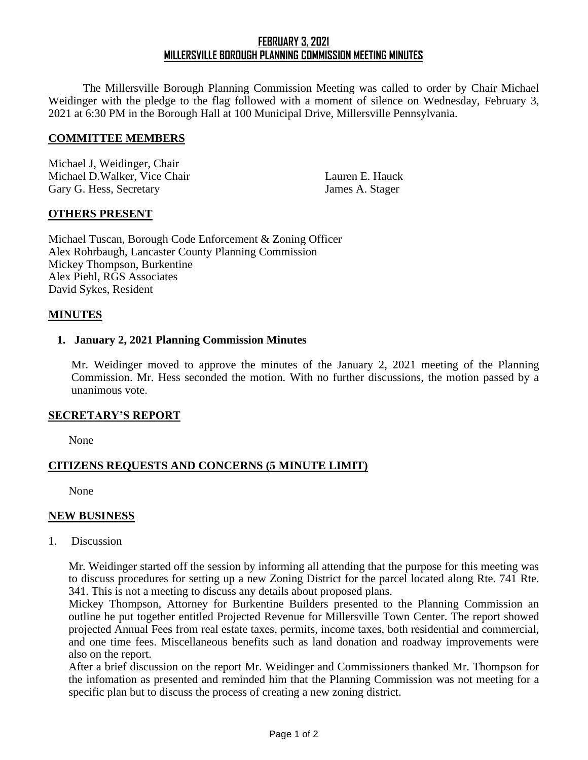# **FEBRUARY 3, 2021 MILLERSVILLE BOROUGH PLANNING COMMISSION MEETING MINUTES**

The Millersville Borough Planning Commission Meeting was called to order by Chair Michael Weidinger with the pledge to the flag followed with a moment of silence on Wednesday, February 3, 2021 at 6:30 PM in the Borough Hall at 100 Municipal Drive, Millersville Pennsylvania.

#### **COMMITTEE MEMBERS**

Michael J, Weidinger, Chair Michael D.Walker, Vice Chair Lauren E. Hauck Gary G. Hess, Secretary James A. Stager

## **OTHERS PRESENT**

Michael Tuscan, Borough Code Enforcement & Zoning Officer Alex Rohrbaugh, Lancaster County Planning Commission Mickey Thompson, Burkentine Alex Piehl, RGS Associates David Sykes, Resident

## **MINUTES**

## **1. January 2, 2021 Planning Commission Minutes**

Mr. Weidinger moved to approve the minutes of the January 2, 2021 meeting of the Planning Commission. Mr. Hess seconded the motion. With no further discussions, the motion passed by a unanimous vote.

## **SECRETARY'S REPORT**

None

## **CITIZENS REQUESTS AND CONCERNS (5 MINUTE LIMIT)**

None

#### **NEW BUSINESS**

1. Discussion

Mr. Weidinger started off the session by informing all attending that the purpose for this meeting was to discuss procedures for setting up a new Zoning District for the parcel located along Rte. 741 Rte. 341. This is not a meeting to discuss any details about proposed plans.

Mickey Thompson, Attorney for Burkentine Builders presented to the Planning Commission an outline he put together entitled Projected Revenue for Millersville Town Center. The report showed projected Annual Fees from real estate taxes, permits, income taxes, both residential and commercial, and one time fees. Miscellaneous benefits such as land donation and roadway improvements were also on the report.

After a brief discussion on the report Mr. Weidinger and Commissioners thanked Mr. Thompson for the infomation as presented and reminded him that the Planning Commission was not meeting for a specific plan but to discuss the process of creating a new zoning district.